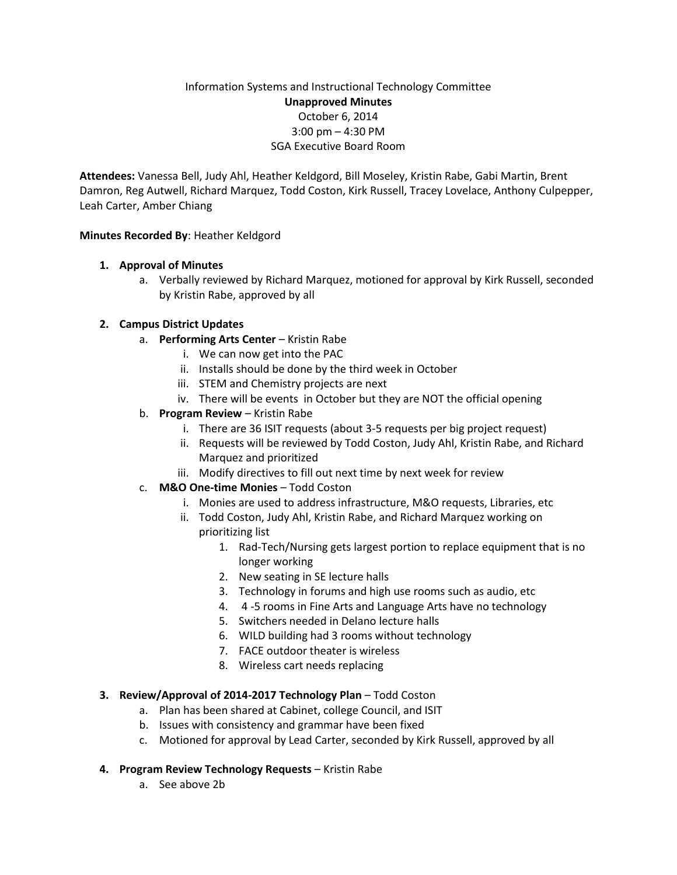# Information Systems and Instructional Technology Committee **Unapproved Minutes** October 6, 2014 3:00 pm – 4:30 PM SGA Executive Board Room

**Attendees:** Vanessa Bell, Judy Ahl, Heather Keldgord, Bill Moseley, Kristin Rabe, Gabi Martin, Brent Damron, Reg Autwell, Richard Marquez, Todd Coston, Kirk Russell, Tracey Lovelace, Anthony Culpepper, Leah Carter, Amber Chiang

### **Minutes Recorded By**: Heather Keldgord

## **1. Approval of Minutes**

a. Verbally reviewed by Richard Marquez, motioned for approval by Kirk Russell, seconded by Kristin Rabe, approved by all

## **2. Campus District Updates**

- a. **Performing Arts Center** Kristin Rabe
	- i. We can now get into the PAC
	- ii. Installs should be done by the third week in October
	- iii. STEM and Chemistry projects are next
	- iv. There will be events in October but they are NOT the official opening
- b. **Program Review** Kristin Rabe
	- i. There are 36 ISIT requests (about 3-5 requests per big project request)
	- ii. Requests will be reviewed by Todd Coston, Judy Ahl, Kristin Rabe, and Richard Marquez and prioritized
	- iii. Modify directives to fill out next time by next week for review
- c. **M&O One-time Monies** Todd Coston
	- i. Monies are used to address infrastructure, M&O requests, Libraries, etc
	- ii. Todd Coston, Judy Ahl, Kristin Rabe, and Richard Marquez working on prioritizing list
		- 1. Rad-Tech/Nursing gets largest portion to replace equipment that is no longer working
		- 2. New seating in SE lecture halls
		- 3. Technology in forums and high use rooms such as audio, etc
		- 4. 4 -5 rooms in Fine Arts and Language Arts have no technology
		- 5. Switchers needed in Delano lecture halls
		- 6. WILD building had 3 rooms without technology
		- 7. FACE outdoor theater is wireless
		- 8. Wireless cart needs replacing

#### **3. Review/Approval of 2014-2017 Technology Plan - Todd Coston**

- a. Plan has been shared at Cabinet, college Council, and ISIT
- b. Issues with consistency and grammar have been fixed
- c. Motioned for approval by Lead Carter, seconded by Kirk Russell, approved by all

#### **4. Program Review Technology Requests** – Kristin Rabe

a. See above 2b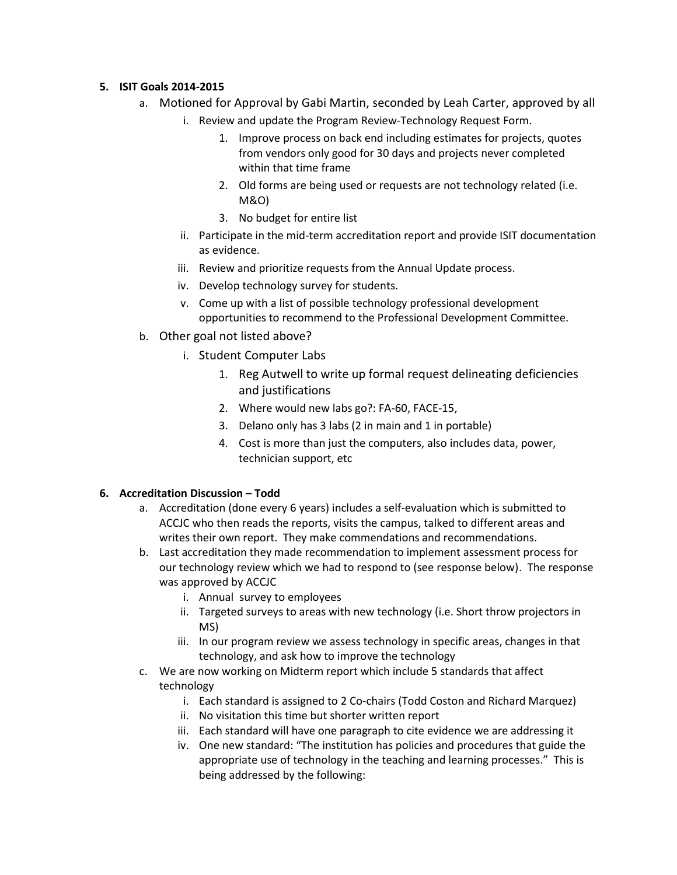### **5. ISIT Goals 2014-2015**

- a. Motioned for Approval by Gabi Martin, seconded by Leah Carter, approved by all
	- i. Review and update the Program Review-Technology Request Form.
		- 1. Improve process on back end including estimates for projects, quotes from vendors only good for 30 days and projects never completed within that time frame
		- 2. Old forms are being used or requests are not technology related (i.e. M&O)
		- 3. No budget for entire list
	- ii. Participate in the mid-term accreditation report and provide ISIT documentation as evidence.
	- iii. Review and prioritize requests from the Annual Update process.
	- iv. Develop technology survey for students.
	- v. Come up with a list of possible technology professional development opportunities to recommend to the Professional Development Committee.
- b. Other goal not listed above?
	- i. Student Computer Labs
		- 1. Reg Autwell to write up formal request delineating deficiencies and justifications
		- 2. Where would new labs go?: FA-60, FACE-15,
		- 3. Delano only has 3 labs (2 in main and 1 in portable)
		- 4. Cost is more than just the computers, also includes data, power, technician support, etc

## **6. Accreditation Discussion – Todd**

- a. Accreditation (done every 6 years) includes a self-evaluation which is submitted to ACCJC who then reads the reports, visits the campus, talked to different areas and writes their own report. They make commendations and recommendations.
- b. Last accreditation they made recommendation to implement assessment process for our technology review which we had to respond to (see response below). The response was approved by ACCJC
	- i. Annual survey to employees
	- ii. Targeted surveys to areas with new technology (i.e. Short throw projectors in MS)
	- iii. In our program review we assess technology in specific areas, changes in that technology, and ask how to improve the technology
- c. We are now working on Midterm report which include 5 standards that affect technology
	- i. Each standard is assigned to 2 Co-chairs (Todd Coston and Richard Marquez)
	- ii. No visitation this time but shorter written report
	- iii. Each standard will have one paragraph to cite evidence we are addressing it
	- iv. One new standard: "The institution has policies and procedures that guide the appropriate use of technology in the teaching and learning processes." This is being addressed by the following: